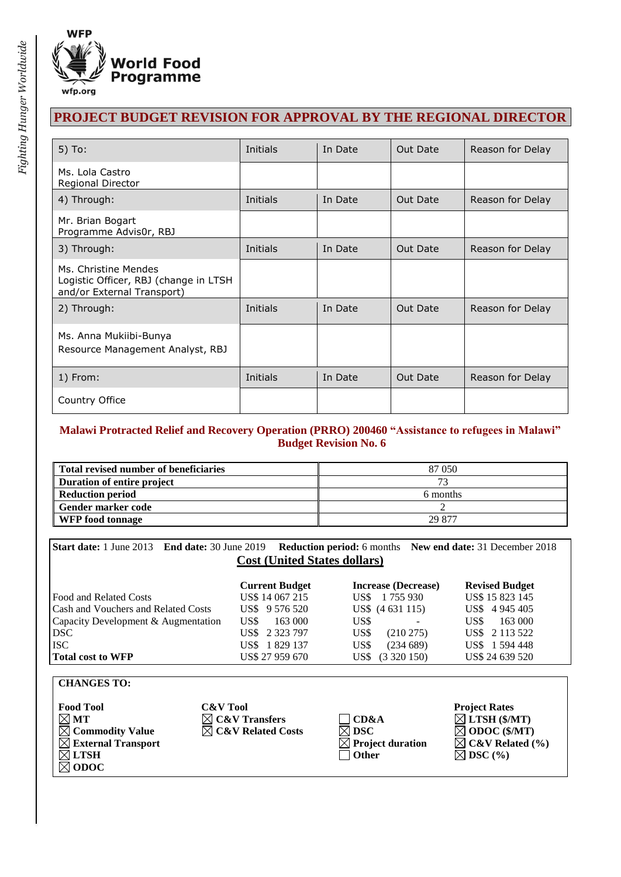

# **PROJECT BUDGET REVISION FOR APPROVAL BY THE REGIONAL DIRECTOR**

| $5)$ To:                                                                                    | Initials | In Date | Out Date | Reason for Delay |
|---------------------------------------------------------------------------------------------|----------|---------|----------|------------------|
| Ms. Lola Castro<br>Regional Director                                                        |          |         |          |                  |
| 4) Through:                                                                                 | Initials | In Date | Out Date | Reason for Delay |
| Mr. Brian Bogart<br>Programme Advis0r, RBJ                                                  |          |         |          |                  |
| 3) Through:                                                                                 | Initials | In Date | Out Date | Reason for Delay |
| Ms. Christine Mendes<br>Logistic Officer, RBJ (change in LTSH<br>and/or External Transport) |          |         |          |                  |
| 2) Through:                                                                                 | Initials | In Date | Out Date | Reason for Delay |
| Ms. Anna Mukiibi-Bunya<br>Resource Management Analyst, RBJ                                  |          |         |          |                  |
| 1) From:                                                                                    | Initials | In Date | Out Date | Reason for Delay |
| Country Office                                                                              |          |         |          |                  |

#### **Malawi Protracted Relief and Recovery Operation (PRRO) 200460 "Assistance to refugees in Malawi" Budget Revision No. 6**

| Total revised number of beneficiaries | 87 050        |  |  |
|---------------------------------------|---------------|--|--|
| Duration of entire project            | $\mathcal{L}$ |  |  |
| Reduction period                      | 6 months      |  |  |
| Gender marker code                    |               |  |  |
| <b>WFP</b> food tonnage               | 29.877        |  |  |

**Start date:** 1 June 2013 **End date:** 30 June 2019 **Reduction period:** 6 months **New end date:** 31 December 2018 **Cost (United States dollars)**

| <b>Current Budget</b> | <b>Increase (Decrease)</b> | <b>Revised Budget</b> |
|-----------------------|----------------------------|-----------------------|
| US\$ 14 067 215       | 1755930<br>US\$-           | US\$ 15 823 145       |
| US\$ 9 576 520        | US\$ (4 631 115)           | US\$4945405           |
| US\$<br>163 000       | US\$<br>-                  | US\$<br>163 000       |
| US\$ 2 323 797        | US\$<br>$(210\,275)$       | US\$ 2 113 522        |
| US\$ 1829 137         | US\$<br>(234689)           | US\$ 1 594 448        |
| US\$ 27 959 670       | (3320150)<br>US\$          | US\$ 24 639 520       |
|                       |                            |                       |

| <b>CHANGES TO:</b> |  |
|--------------------|--|
|--------------------|--|

| <b>Food Tool</b>               | <b>C&amp;V</b> Tool           |                              | <b>Project Rates</b>        |
|--------------------------------|-------------------------------|------------------------------|-----------------------------|
| $\boxtimes$ MT                 | $\boxtimes$ C&V Transfers     | $\Box$ CD&A                  | $\boxtimes$ LTSH (\$/MT)    |
| $\boxtimes$ Commodity Value    | $\boxtimes$ C&V Related Costs | $\boxtimes$ DSC              | $\boxtimes$ ODOC (\$/MT)    |
| $\boxtimes$ External Transport |                               | $\boxtimes$ Project duration | $\boxtimes$ C&V Related (%) |
| $\boxtimes$ ltsh               |                               | $\vert$   Other              | $\boxtimes$ DSC (%)         |
| $\boxtimes$ ODOC               |                               |                              |                             |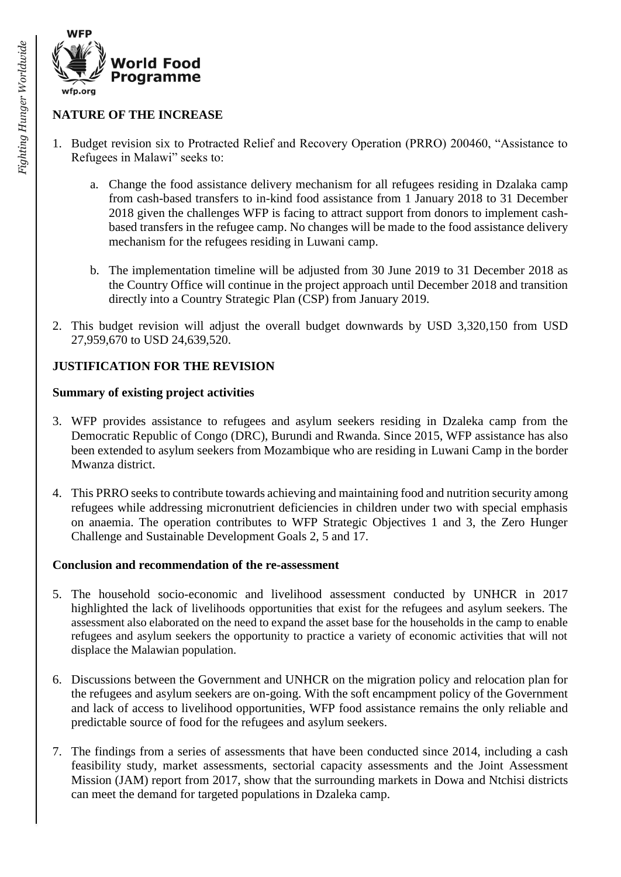

### **NATURE OF THE INCREASE**

- 1. Budget revision six to Protracted Relief and Recovery Operation (PRRO) 200460, "Assistance to Refugees in Malawi" seeks to:
	- a. Change the food assistance delivery mechanism for all refugees residing in Dzalaka camp from cash-based transfers to in-kind food assistance from 1 January 2018 to 31 December 2018 given the challenges WFP is facing to attract support from donors to implement cashbased transfers in the refugee camp. No changes will be made to the food assistance delivery mechanism for the refugees residing in Luwani camp.
	- b. The implementation timeline will be adjusted from 30 June 2019 to 31 December 2018 as the Country Office will continue in the project approach until December 2018 and transition directly into a Country Strategic Plan (CSP) from January 2019.
- 2. This budget revision will adjust the overall budget downwards by USD 3,320,150 from USD 27,959,670 to USD 24,639,520.

### **JUSTIFICATION FOR THE REVISION**

#### **Summary of existing project activities**

- 3. WFP provides assistance to refugees and asylum seekers residing in Dzaleka camp from the Democratic Republic of Congo (DRC), Burundi and Rwanda. Since 2015, WFP assistance has also been extended to asylum seekers from Mozambique who are residing in Luwani Camp in the border Mwanza district.
- 4. This PRRO seeks to contribute towards achieving and maintaining food and nutrition security among refugees while addressing micronutrient deficiencies in children under two with special emphasis on anaemia. The operation contributes to WFP Strategic Objectives 1 and 3, the Zero Hunger Challenge and Sustainable Development Goals 2, 5 and 17.

#### **Conclusion and recommendation of the re-assessment**

- 5. The household socio-economic and livelihood assessment conducted by UNHCR in 2017 highlighted the lack of livelihoods opportunities that exist for the refugees and asylum seekers. The assessment also elaborated on the need to expand the asset base for the households in the camp to enable refugees and asylum seekers the opportunity to practice a variety of economic activities that will not displace the Malawian population.
- 6. Discussions between the Government and UNHCR on the migration policy and relocation plan for the refugees and asylum seekers are on-going. With the soft encampment policy of the Government and lack of access to livelihood opportunities, WFP food assistance remains the only reliable and predictable source of food for the refugees and asylum seekers.
- 7. The findings from a series of assessments that have been conducted since 2014, including a cash feasibility study, market assessments, sectorial capacity assessments and the Joint Assessment Mission (JAM) report from 2017, show that the surrounding markets in Dowa and Ntchisi districts can meet the demand for targeted populations in Dzaleka camp.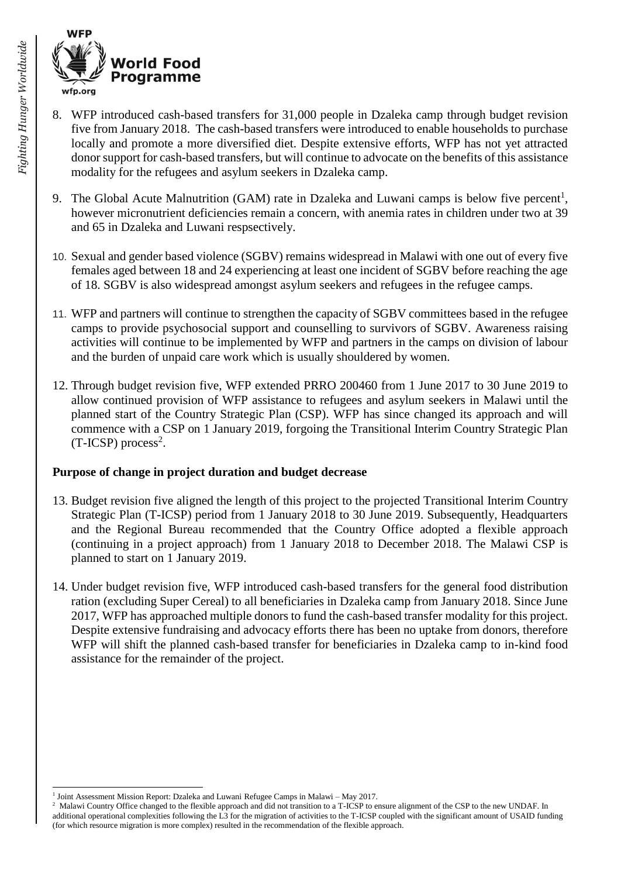

- 8. WFP introduced cash-based transfers for 31,000 people in Dzaleka camp through budget revision five from January 2018. The cash-based transfers were introduced to enable households to purchase locally and promote a more diversified diet. Despite extensive efforts, WFP has not yet attracted donor support for cash-based transfers, but will continue to advocate on the benefits of this assistance modality for the refugees and asylum seekers in Dzaleka camp.
- 9. The Global Acute Malnutrition (GAM) rate in Dzaleka and Luwani camps is below five percent<sup>1</sup>, however micronutrient deficiencies remain a concern, with anemia rates in children under two at 39 and 65 in Dzaleka and Luwani respsectively.
- 10. Sexual and gender based violence (SGBV) remains widespread in Malawi with one out of every five females aged between 18 and 24 experiencing at least one incident of SGBV before reaching the age of 18. SGBV is also widespread amongst asylum seekers and refugees in the refugee camps.
- 11. WFP and partners will continue to strengthen the capacity of SGBV committees based in the refugee camps to provide psychosocial support and counselling to survivors of SGBV. Awareness raising activities will continue to be implemented by WFP and partners in the camps on division of labour and the burden of unpaid care work which is usually shouldered by women.
- 12. Through budget revision five, WFP extended PRRO 200460 from 1 June 2017 to 30 June 2019 to allow continued provision of WFP assistance to refugees and asylum seekers in Malawi until the planned start of the Country Strategic Plan (CSP). WFP has since changed its approach and will commence with a CSP on 1 January 2019, forgoing the Transitional Interim Country Strategic Plan  $(T-ICSP)$  process<sup>2</sup>.

#### **Purpose of change in project duration and budget decrease**

- 13. Budget revision five aligned the length of this project to the projected Transitional Interim Country Strategic Plan (T-ICSP) period from 1 January 2018 to 30 June 2019. Subsequently, Headquarters and the Regional Bureau recommended that the Country Office adopted a flexible approach (continuing in a project approach) from 1 January 2018 to December 2018. The Malawi CSP is planned to start on 1 January 2019.
- 14. Under budget revision five, WFP introduced cash-based transfers for the general food distribution ration (excluding Super Cereal) to all beneficiaries in Dzaleka camp from January 2018. Since June 2017, WFP has approached multiple donors to fund the cash-based transfer modality for this project. Despite extensive fundraising and advocacy efforts there has been no uptake from donors, therefore WFP will shift the planned cash-based transfer for beneficiaries in Dzaleka camp to in-kind food assistance for the remainder of the project.

l

<sup>&</sup>lt;sup>1</sup> Joint Assessment Mission Report: Dzaleka and Luwani Refugee Camps in Malawi – May 2017.

<sup>&</sup>lt;sup>2</sup> Malawi Country Office changed to the flexible approach and did not transition to a T-ICSP to ensure alignment of the CSP to the new UNDAF. In additional operational complexities following the L3 for the migration of activities to the T-ICSP coupled with the significant amount of USAID funding (for which resource migration is more complex) resulted in the recommendation of the flexible approach.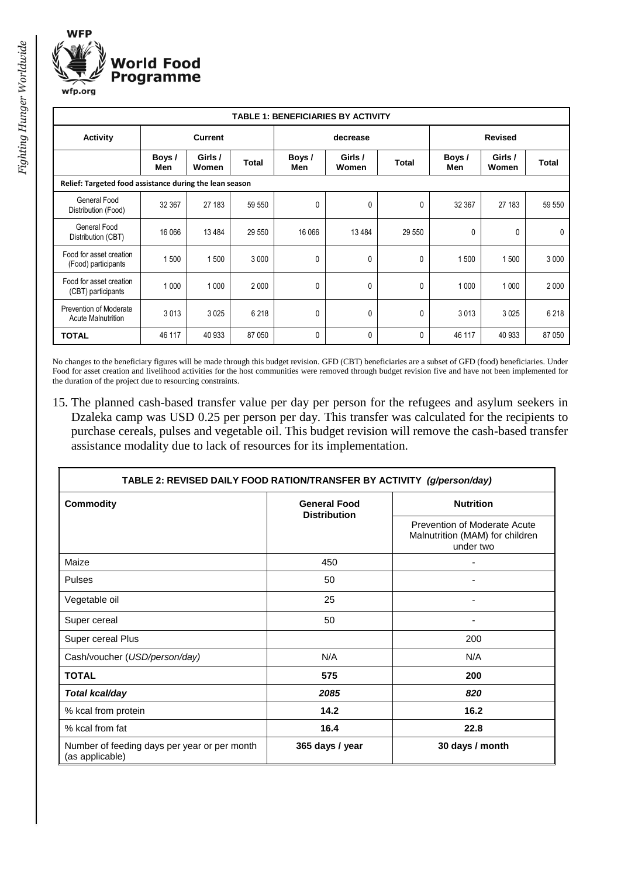

| <b>TABLE 1: BENEFICIARIES BY ACTIVITY</b>               |                |                  |              |               |                  |                |              |                  |              |
|---------------------------------------------------------|----------------|------------------|--------------|---------------|------------------|----------------|--------------|------------------|--------------|
| <b>Activity</b>                                         | <b>Current</b> |                  | decrease     |               |                  | <b>Revised</b> |              |                  |              |
|                                                         | Boys /<br>Men  | Girls /<br>Women | <b>Total</b> | Boys /<br>Men | Girls /<br>Women | Total          | Boys/<br>Men | Girls /<br>Women | <b>Total</b> |
| Relief: Targeted food assistance during the lean season |                |                  |              |               |                  |                |              |                  |              |
| General Food<br>Distribution (Food)                     | 32 367         | 27 183           | 59 550       | 0             | 0                | 0              | 32 367       | 27 183           | 59 550       |
| General Food<br>Distribution (CBT)                      | 16 066         | 13 4 84          | 29 550       | 16 066        | 13 4 84          | 29 550         | 0            | 0                | 0            |
| Food for asset creation<br>(Food) participants          | 1500           | 1 500            | 3 0 0 0      | 0             | 0                | 0              | 500          | 1500             | 3 0 0 0      |
| Food for asset creation<br>(CBT) participants           | 1 0 0 0        | 1 0 0 0          | 2 0 0 0      | 0             | 0                | 0              | 1 0 0 0      | 1 0 0 0          | 2 0 0 0      |
| Prevention of Moderate<br><b>Acute Malnutrition</b>     | 3013           | 3 0 25           | 6 2 18       | 0             | 0                | 0              | 3013         | 3 0 25           | 6 2 18       |
| <b>TOTAL</b>                                            | 46 117         | 40 933           | 87 050       | 0             | 0                | 0              | 46 117       | 40 933           | 87 050       |

No changes to the beneficiary figures will be made through this budget revision. GFD (CBT) beneficiaries are a subset of GFD (food) beneficiaries. Under Food for asset creation and livelihood activities for the host communities were removed through budget revision five and have not been implemented for the duration of the project due to resourcing constraints.

15. The planned cash-based transfer value per day per person for the refugees and asylum seekers in Dzaleka camp was USD 0.25 per person per day. This transfer was calculated for the recipients to purchase cereals, pulses and vegetable oil. This budget revision will remove the cash-based transfer assistance modality due to lack of resources for its implementation.

| TABLE 2: REVISED DAILY FOOD RATION/TRANSFER BY ACTIVITY (g/person/day) |                                            |                                                                              |  |  |  |
|------------------------------------------------------------------------|--------------------------------------------|------------------------------------------------------------------------------|--|--|--|
| <b>Commodity</b>                                                       | <b>General Food</b><br><b>Distribution</b> | <b>Nutrition</b>                                                             |  |  |  |
|                                                                        |                                            | Prevention of Moderate Acute<br>Malnutrition (MAM) for children<br>under two |  |  |  |
| Maize                                                                  | 450                                        |                                                                              |  |  |  |
| Pulses                                                                 | 50                                         |                                                                              |  |  |  |
| Vegetable oil                                                          | 25                                         | ٠                                                                            |  |  |  |
| Super cereal                                                           | 50                                         |                                                                              |  |  |  |
| Super cereal Plus                                                      |                                            | 200                                                                          |  |  |  |
| Cash/voucher (USD/person/day)                                          | N/A                                        | N/A                                                                          |  |  |  |
| <b>TOTAL</b>                                                           | 575                                        | 200                                                                          |  |  |  |
| Total kcal/day                                                         | 2085                                       | 820                                                                          |  |  |  |
| % kcal from protein                                                    | 14.2                                       | 16.2                                                                         |  |  |  |
| % kcal from fat                                                        | 16.4                                       | 22.8                                                                         |  |  |  |
| Number of feeding days per year or per month<br>(as applicable)        | 365 days / year                            | 30 days / month                                                              |  |  |  |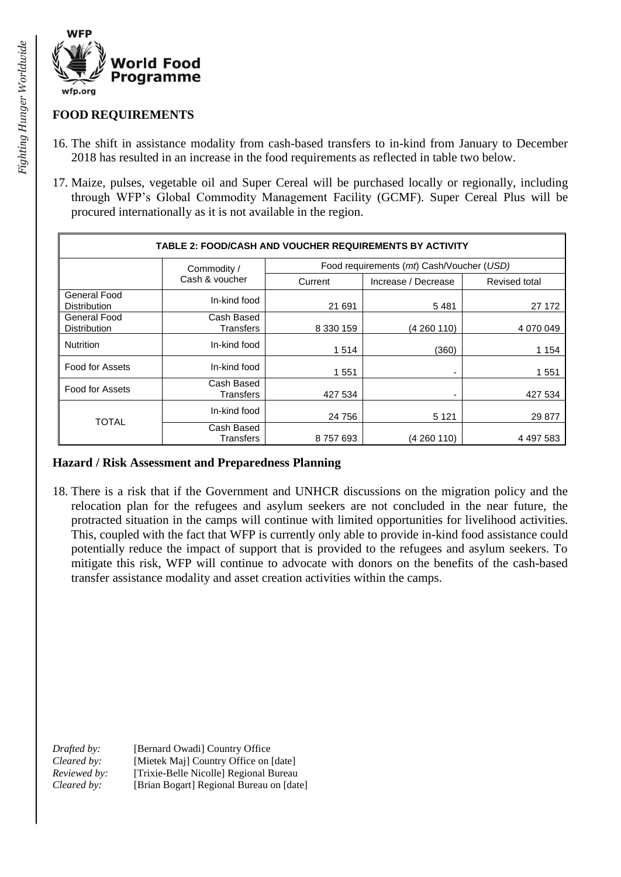

### **FOOD REQUIREMENTS**

- 16. The shift in assistance modality from cash-based transfers to in-kind from January to December 2018 has resulted in an increase in the food requirements as reflected in table two below.
- 17. Maize, pulses, vegetable oil and Super Cereal will be purchased locally or regionally, including through WFP's Global Commodity Management Facility (GCMF). Super Cereal Plus will be procured internationally as it is not available in the region.

| <b>TABLE 2: FOOD/CASH AND VOUCHER REQUIREMENTS BY ACTIVITY</b> |                                |                                           |                          |               |  |  |
|----------------------------------------------------------------|--------------------------------|-------------------------------------------|--------------------------|---------------|--|--|
|                                                                | Commodity /                    | Food requirements (mt) Cash/Voucher (USD) |                          |               |  |  |
|                                                                | Cash & voucher                 | Current                                   | Increase / Decrease      | Revised total |  |  |
| <b>General Food</b><br><b>Distribution</b>                     | In-kind food                   | 21 691                                    | 5481                     | 27 172        |  |  |
| General Food<br><b>Distribution</b>                            | Cash Based<br><b>Transfers</b> | 8 330 159                                 | (4 260 110)              | 4 070 049     |  |  |
| <b>Nutrition</b>                                               | In-kind food                   | 1514                                      | (360)                    | 1 1 5 4       |  |  |
| Food for Assets                                                | In-kind food                   | 1551                                      | ٠                        | 1551          |  |  |
| Food for Assets                                                | Cash Based<br>Transfers        | 427 534                                   | $\overline{\phantom{0}}$ | 427 534       |  |  |
| <b>TOTAL</b>                                                   | In-kind food                   | 24 756                                    | 5 1 2 1                  | 29 877        |  |  |
|                                                                | Cash Based<br>Transfers        | 8757693                                   | (4 260 110)              | 4 497 583     |  |  |

#### **Hazard / Risk Assessment and Preparedness Planning**

18. There is a risk that if the Government and UNHCR discussions on the migration policy and the relocation plan for the refugees and asylum seekers are not concluded in the near future, the protracted situation in the camps will continue with limited opportunities for livelihood activities. This, coupled with the fact that WFP is currently only able to provide in-kind food assistance could potentially reduce the impact of support that is provided to the refugees and asylum seekers. To mitigate this risk, WFP will continue to advocate with donors on the benefits of the cash-based transfer assistance modality and asset creation activities within the camps.

*Drafted by:* [Bernard Owadi] Country Office *Cleared by:* [Mietek Maj] Country Office on [date] *Reviewed by:* [Trixie-Belle Nicolle] Regional Bureau *Cleared by:* [Brian Bogart] Regional Bureau on [date]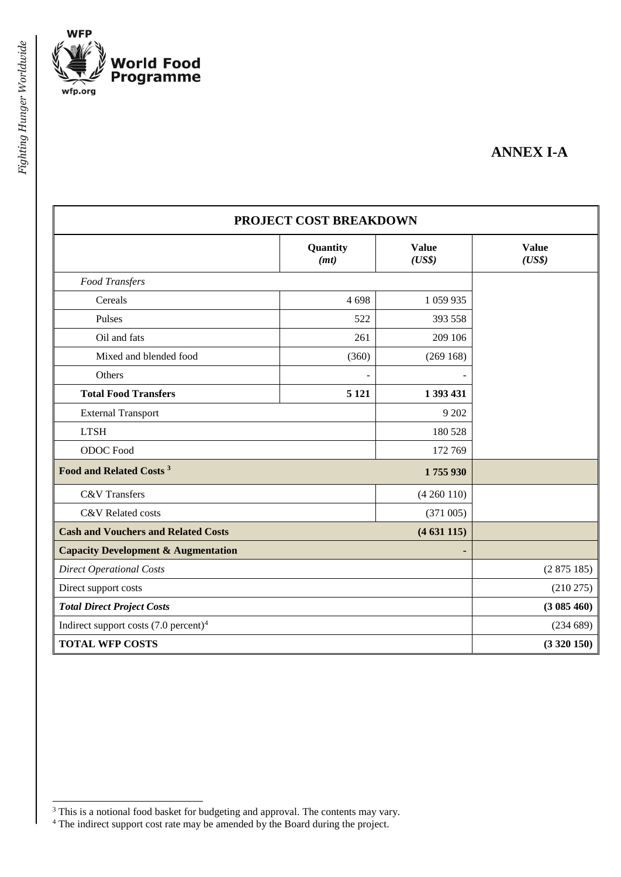

# **ANNEX I-A**

| PROJECT COST BREAKDOWN                           |                  |                        |                        |  |  |
|--------------------------------------------------|------------------|------------------------|------------------------|--|--|
|                                                  | Quantity<br>(mt) | <b>Value</b><br>(US\$) | <b>Value</b><br>(US\$) |  |  |
| Food Transfers                                   |                  |                        |                        |  |  |
| Cereals                                          | 4698             | 1 059 935              |                        |  |  |
| Pulses                                           | 522              | 393 558                |                        |  |  |
| Oil and fats                                     | 261              | 209 106                |                        |  |  |
| Mixed and blended food                           | (360)            | (269168)               |                        |  |  |
| Others                                           |                  |                        |                        |  |  |
| <b>Total Food Transfers</b>                      | 5 1 21           | 1 393 431              |                        |  |  |
| <b>External Transport</b>                        |                  | 9 202                  |                        |  |  |
| <b>LTSH</b>                                      |                  | 180 528                |                        |  |  |
| ODOC Food                                        |                  | 172 769                |                        |  |  |
| Food and Related Costs <sup>3</sup>              |                  |                        |                        |  |  |
| <b>C&amp;V</b> Transfers<br>(4260110)            |                  |                        |                        |  |  |
| C&V Related costs                                |                  | (371005)               |                        |  |  |
| <b>Cash and Vouchers and Related Costs</b>       |                  | (4631115)              |                        |  |  |
| <b>Capacity Development &amp; Augmentation</b>   |                  |                        |                        |  |  |
| <b>Direct Operational Costs</b>                  | (2875185)        |                        |                        |  |  |
| Direct support costs                             | (210 275)        |                        |                        |  |  |
| <b>Total Direct Project Costs</b>                | (3085460)        |                        |                        |  |  |
| Indirect support costs $(7.0 \text{ percent})^4$ | (234689)         |                        |                        |  |  |
| <b>TOTAL WFP COSTS</b>                           | (3320150)        |                        |                        |  |  |

 $\overline{a}$ 

<sup>&</sup>lt;sup>3</sup> This is a notional food basket for budgeting and approval. The contents may vary.

 $4$  The indirect support cost rate may be amended by the Board during the project.